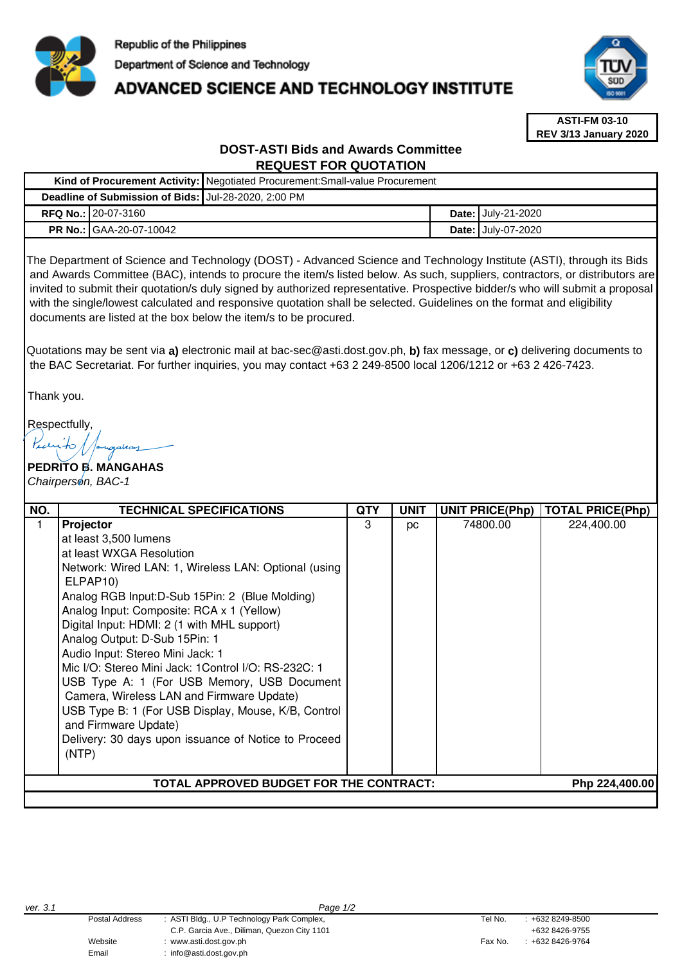

# **ADVANCED SCIENCE AND TECHNOLOGY INSTITUTE**



**ASTI-FM 03-10 REV 3/13 January 2020**

# **DOST-ASTI Bids and Awards Committee REQUEST FOR QUOTATION**

|                                                      | Kind of Procurement Activity:   Negotiated Procurement: Small-value Procurement |  |                           |  |  |
|------------------------------------------------------|---------------------------------------------------------------------------------|--|---------------------------|--|--|
| Deadline of Submission of Bids: Jul-28-2020, 2:00 PM |                                                                                 |  |                           |  |  |
| <b>RFQ No.: 20-07-3160</b>                           |                                                                                 |  | <b>Date: July-21-2020</b> |  |  |
| <b>PR No.: GAA-20-07-10042</b>                       |                                                                                 |  | <b>Date: July-07-2020</b> |  |  |

The Department of Science and Technology (DOST) - Advanced Science and Technology Institute (ASTI), through its Bids and Awards Committee (BAC), intends to procure the item/s listed below. As such, suppliers, contractors, or distributors are invited to submit their quotation/s duly signed by authorized representative. Prospective bidder/s who will submit a proposal with the single/lowest calculated and responsive quotation shall be selected. Guidelines on the format and eligibility documents are listed at the box below the item/s to be procured.

Quotations may be sent via **a)** electronic mail at bac-sec@asti.dost.gov.ph, **b)** fax message, or **c)** delivering documents to the BAC Secretariat. For further inquiries, you may contact +63 2 249-8500 local 1206/1212 or +63 2 426-7423.

Thank you.

Respectfully,

**PEDRITO B. MANGAHAS**  Chairperson, BAC-1

| NO. | <b>TECHNICAL SPECIFICATIONS</b>                                                                                                                                                                                                                                                                                                                                                                                                                                                                                                                                                                                                                                       | <b>QTY</b> | <b>UNIT</b>    | <b>UNIT PRICE(Php)</b> | TOTAL PRICE(Php) |
|-----|-----------------------------------------------------------------------------------------------------------------------------------------------------------------------------------------------------------------------------------------------------------------------------------------------------------------------------------------------------------------------------------------------------------------------------------------------------------------------------------------------------------------------------------------------------------------------------------------------------------------------------------------------------------------------|------------|----------------|------------------------|------------------|
|     | Projector<br>at least 3,500 lumens<br>at least WXGA Resolution<br>Network: Wired LAN: 1, Wireless LAN: Optional (using<br>ELPAP <sub>10</sub><br>Analog RGB Input: D-Sub 15Pin: 2 (Blue Molding)<br>Analog Input: Composite: RCA x 1 (Yellow)<br>Digital Input: HDMI: 2 (1 with MHL support)<br>Analog Output: D-Sub 15Pin: 1<br>Audio Input: Stereo Mini Jack: 1<br>Mic I/O: Stereo Mini Jack: 1 Control I/O: RS-232C: 1<br>USB Type A: 1 (For USB Memory, USB Document<br>Camera, Wireless LAN and Firmware Update)<br>USB Type B: 1 (For USB Display, Mouse, K/B, Control<br>and Firmware Update)<br>Delivery: 30 days upon issuance of Notice to Proceed<br>(NTP) | З          | pc             | 74800.00               | 224,400.00       |
|     | TOTAL APPROVED BUDGET FOR THE CONTRACT:                                                                                                                                                                                                                                                                                                                                                                                                                                                                                                                                                                                                                               |            | Php 224,400.00 |                        |                  |
|     |                                                                                                                                                                                                                                                                                                                                                                                                                                                                                                                                                                                                                                                                       |            |                |                        |                  |